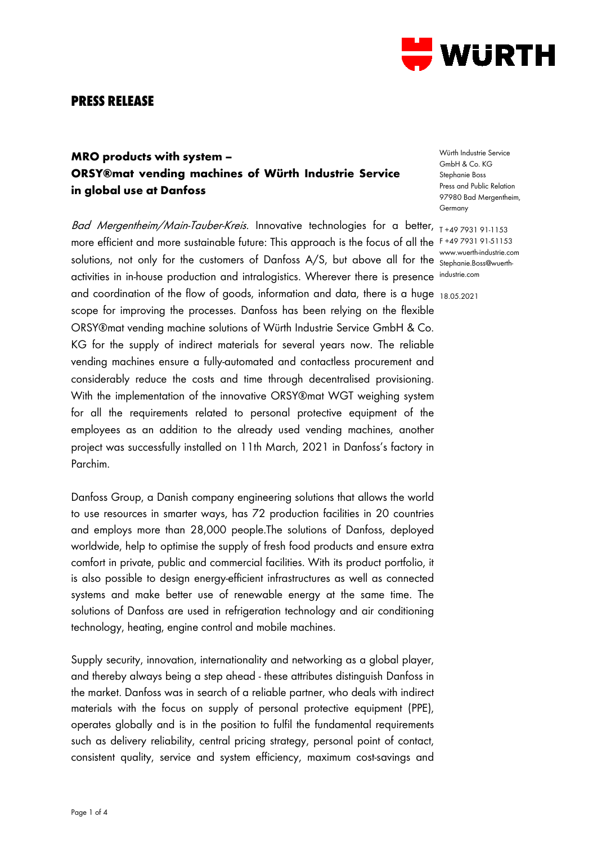

## **PRESS RELEASE**

## **MRO products with system – ORSY®mat vending machines of Würth Industrie Service in global use at Danfoss**

Ba*d Mergentheim/Main-Tauber-Kreis.* Innovative technologies for a better, <sub>T+49 7931 91-1153</sub> more efficient and more sustainable future: This approach is the focus of all the F +49 7931 91-51153 solutions, not only for the customers of Danfoss A/S, but above all for the Stephanie Boss@wuerthactivities in in-house production and intralogistics. Wherever there is presence industrie.com and coordination of the flow of goods, information and data, there is a huge 18.05.2021 scope for improving the processes. Danfoss has been relying on the flexible ORSY®mat vending machine solutions of Würth Industrie Service GmbH & Co. KG for the supply of indirect materials for several years now. The reliable vending machines ensure a fully-automated and contactless procurement and considerably reduce the costs and time through decentralised provisioning. With the implementation of the innovative ORSY®mat WGT weighing system for all the requirements related to personal protective equipment of the employees as an addition to the already used vending machines, another project was successfully installed on 11th March, 2021 in Danfoss's factory in Parchim.

Danfoss Group, a Danish company engineering solutions that allows the world to use resources in smarter ways, has 72 production facilities in 20 countries and employs more than 28,000 people.The solutions of Danfoss, deployed worldwide, help to optimise the supply of fresh food products and ensure extra comfort in private, public and commercial facilities. With its product portfolio, it is also possible to design energy-efficient infrastructures as well as connected systems and make better use of renewable energy at the same time. The solutions of Danfoss are used in refrigeration technology and air conditioning technology, heating, engine control and mobile machines.

Supply security, innovation, internationality and networking as a global player, and thereby always being a step ahead - these attributes distinguish Danfoss in the market. Danfoss was in search of a reliable partner, who deals with indirect materials with the focus on supply of personal protective equipment (PPE), operates globally and is in the position to fulfil the fundamental requirements such as delivery reliability, central pricing strategy, personal point of contact, consistent quality, service and system efficiency, maximum cost-savings and

Würth Industrie Service GmbH & Co. KG Stephanie Boss Press and Public Relation 97980 Bad Mergentheim, Germany

Stephanie.Boss@wuerth-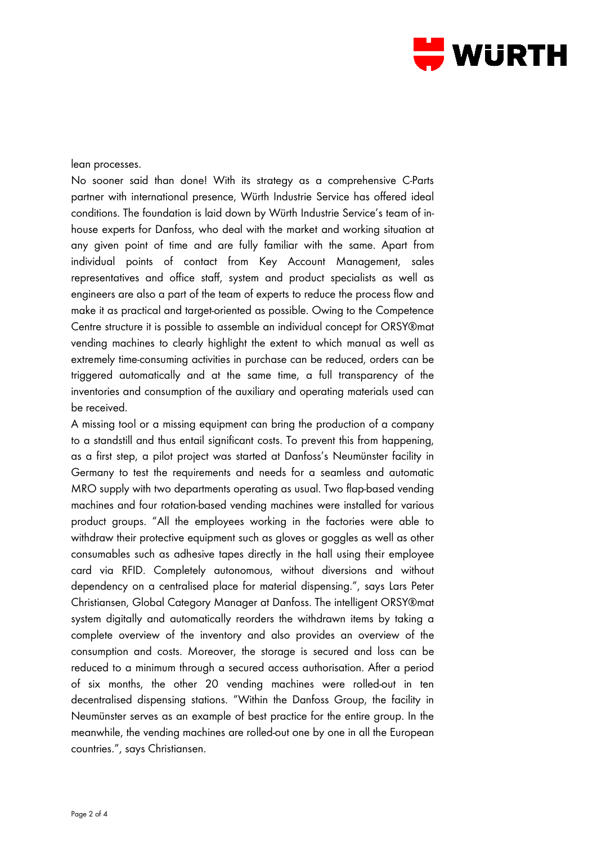

lean processes.

No sooner said than done! With its strategy as a comprehensive C-Parts partner with international presence, Würth Industrie Service has offered ideal conditions. The foundation is laid down by Würth Industrie Service's team of inhouse experts for Danfoss, who deal with the market and working situation at any given point of time and are fully familiar with the same. Apart from individual points of contact from Key Account Management, sales representatives and office staff, system and product specialists as well as engineers are also a part of the team of experts to reduce the process flow and make it as practical and target-oriented as possible. Owing to the Competence Centre structure it is possible to assemble an individual concept for ORSY®mat vending machines to clearly highlight the extent to which manual as well as extremely time-consuming activities in purchase can be reduced, orders can be triggered automatically and at the same time, a full transparency of the inventories and consumption of the auxiliary and operating materials used can be received.

A missing tool or a missing equipment can bring the production of a company to a standstill and thus entail significant costs. To prevent this from happening, as a first step, a pilot project was started at Danfoss's Neumünster facility in Germany to test the requirements and needs for a seamless and automatic MRO supply with two departments operating as usual. Two flap-based vending machines and four rotation-based vending machines were installed for various product groups. "All the employees working in the factories were able to withdraw their protective equipment such as gloves or goggles as well as other consumables such as adhesive tapes directly in the hall using their employee card via RFID. Completely autonomous, without diversions and without dependency on a centralised place for material dispensing.", says Lars Peter Christiansen, Global Category Manager at Danfoss. The intelligent ORSY®mat system digitally and automatically reorders the withdrawn items by taking a complete overview of the inventory and also provides an overview of the consumption and costs. Moreover, the storage is secured and loss can be reduced to a minimum through a secured access authorisation. After a period of six months, the other 20 vending machines were rolled-out in ten decentralised dispensing stations. "Within the Danfoss Group, the facility in Neumünster serves as an example of best practice for the entire group. In the meanwhile, the vending machines are rolled-out one by one in all the European countries.", says Christiansen.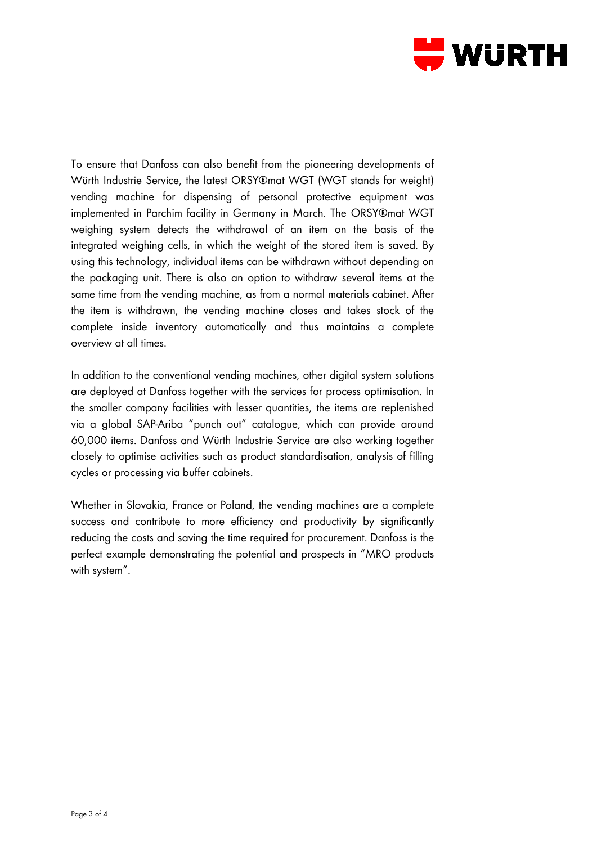

To ensure that Danfoss can also benefit from the pioneering developments of Würth Industrie Service, the latest ORSY®mat WGT (WGT stands for weight) vending machine for dispensing of personal protective equipment was implemented in Parchim facility in Germany in March. The ORSY®mat WGT weighing system detects the withdrawal of an item on the basis of the integrated weighing cells, in which the weight of the stored item is saved. By using this technology, individual items can be withdrawn without depending on the packaging unit. There is also an option to withdraw several items at the same time from the vending machine, as from a normal materials cabinet. After the item is withdrawn, the vending machine closes and takes stock of the complete inside inventory automatically and thus maintains a complete overview at all times.

In addition to the conventional vending machines, other digital system solutions are deployed at Danfoss together with the services for process optimisation. In the smaller company facilities with lesser quantities, the items are replenished via a global SAP-Ariba "punch out" catalogue, which can provide around 60,000 items. Danfoss and Würth Industrie Service are also working together closely to optimise activities such as product standardisation, analysis of filling cycles or processing via buffer cabinets.

Whether in Slovakia, France or Poland, the vending machines are a complete success and contribute to more efficiency and productivity by significantly reducing the costs and saving the time required for procurement. Danfoss is the perfect example demonstrating the potential and prospects in "MRO products with system".